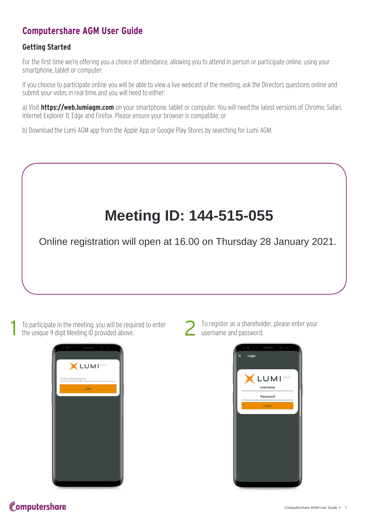### **Computershare AGM User Guide**

#### **Getting Started**

For the first time we're offering you a choice of attendance, allowing you to attend in person or participate online, using your smartphone, tablet or computer.

If you choose to participate online you will be able to view a live webcast of the meeting, ask the Directors questions online and submit your votes in real time and you will need to either:

a) Visit **https://web.lumiagm.com** on your smartphone, tablet or computer. You will need the latest versions of Chrome, Safari, Internet Explorer 11, Edge and Firefox. Please ensure your browser is compatible; or

b) Download the Lumi AGM app from the Apple App or Google Play Stores by searching for Lumi AGM.

# **Meeting ID: 144-515-055**

Online registration will open at 16.00 on Thursday 28 January 2021.

To participate in the meeting, you will be required to enter the unique 9 digit Meeting ID provided above.





To register as a shareholder, please enter your username and password.



## Computershare